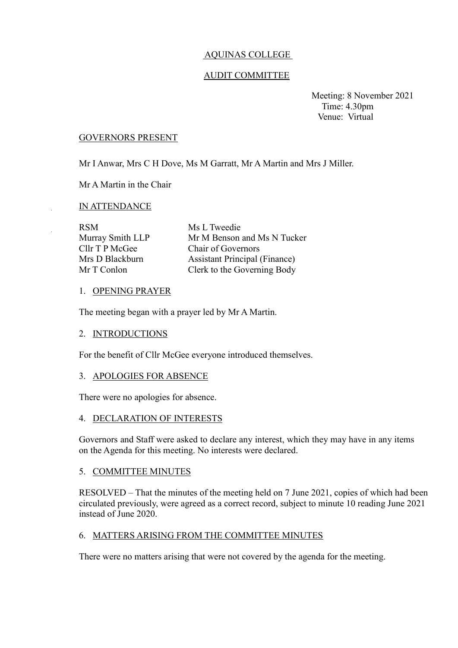## AQUINAS COLLEGE

## AUDIT COMMITTEE

 Meeting: 8 November 2021 Time: 4.30pm Venue: Virtual

#### GOVERNORS PRESENT

Mr I Anwar, Mrs C H Dove, Ms M Garratt, Mr A Martin and Mrs J Miller.

Mr A Martin in the Chair

### IN ATTENDANCE

| <b>RSM</b>       | Ms L Tweedie                         |
|------------------|--------------------------------------|
| Murray Smith LLP | Mr M Benson and Ms N Tucker          |
| Cllr T P McGee   | Chair of Governors                   |
| Mrs D Blackburn  | <b>Assistant Principal (Finance)</b> |
| Mr T Conlon      | Clerk to the Governing Body          |

### 1. OPENING PRAYER

The meeting began with a prayer led by Mr A Martin.

### 2. INTRODUCTIONS

For the benefit of Cllr McGee everyone introduced themselves.

#### 3. APOLOGIES FOR ABSENCE

There were no apologies for absence.

### 4. DECLARATION OF INTERESTS

Governors and Staff were asked to declare any interest, which they may have in any items on the Agenda for this meeting. No interests were declared.

### 5. COMMITTEE MINUTES

RESOLVED – That the minutes of the meeting held on 7 June 2021, copies of which had been circulated previously, were agreed as a correct record, subject to minute 10 reading June 2021 instead of June 2020.

### 6. MATTERS ARISING FROM THE COMMITTEE MINUTES

There were no matters arising that were not covered by the agenda for the meeting.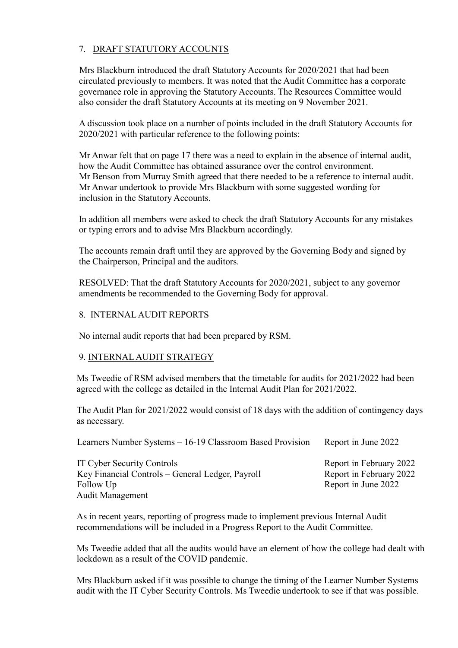# 7. DRAFT STATUTORY ACCOUNTS

 Mrs Blackburn introduced the draft Statutory Accounts for 2020/2021 that had been circulated previously to members. It was noted that the Audit Committee has a corporate governance role in approving the Statutory Accounts. The Resources Committee would also consider the draft Statutory Accounts at its meeting on 9 November 2021.

A discussion took place on a number of points included in the draft Statutory Accounts for 2020/2021 with particular reference to the following points:

Mr Anwar felt that on page 17 there was a need to explain in the absence of internal audit, how the Audit Committee has obtained assurance over the control environment. Mr Benson from Murray Smith agreed that there needed to be a reference to internal audit. Mr Anwar undertook to provide Mrs Blackburn with some suggested wording for inclusion in the Statutory Accounts.

In addition all members were asked to check the draft Statutory Accounts for any mistakes or typing errors and to advise Mrs Blackburn accordingly.

The accounts remain draft until they are approved by the Governing Body and signed by the Chairperson, Principal and the auditors.

RESOLVED: That the draft Statutory Accounts for 2020/2021, subject to any governor amendments be recommended to the Governing Body for approval.

# 8. INTERNAL AUDIT REPORTS

No internal audit reports that had been prepared by RSM.

# 9. INTERNAL AUDIT STRATEGY

Ms Tweedie of RSM advised members that the timetable for audits for 2021/2022 had been agreed with the college as detailed in the Internal Audit Plan for 2021/2022.

The Audit Plan for 2021/2022 would consist of 18 days with the addition of contingency days as necessary.

Learners Number Systems – 16-19 Classroom Based Provision Report in June 2022

IT Cyber Security Controls Report in February 2022 Key Financial Controls – General Ledger, Payroll Report in February 2022 Follow Up Report in June 2022 Audit Management

As in recent years, reporting of progress made to implement previous Internal Audit recommendations will be included in a Progress Report to the Audit Committee.

Ms Tweedie added that all the audits would have an element of how the college had dealt with lockdown as a result of the COVID pandemic.

Mrs Blackburn asked if it was possible to change the timing of the Learner Number Systems audit with the IT Cyber Security Controls. Ms Tweedie undertook to see if that was possible.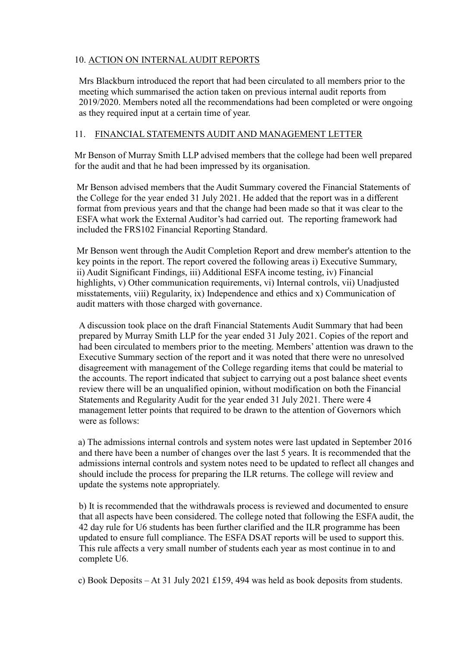# 10. ACTION ON INTERNAL AUDIT REPORTS

Mrs Blackburn introduced the report that had been circulated to all members prior to the meeting which summarised the action taken on previous internal audit reports from 2019/2020. Members noted all the recommendations had been completed or were ongoing as they required input at a certain time of year.

## 11. FINANCIAL STATEMENTS AUDIT AND MANAGEMENT LETTER

Mr Benson of Murray Smith LLP advised members that the college had been well prepared for the audit and that he had been impressed by its organisation.

 Mr Benson advised members that the Audit Summary covered the Financial Statements of the College for the year ended 31 July 2021. He added that the report was in a different format from previous years and that the change had been made so that it was clear to the ESFA what work the External Auditor's had carried out. The reporting framework had included the FRS102 Financial Reporting Standard.

 Mr Benson went through the Audit Completion Report and drew member's attention to the key points in the report. The report covered the following areas i) Executive Summary, ii) Audit Significant Findings, iii) Additional ESFA income testing, iv) Financial highlights, v) Other communication requirements, vi) Internal controls, vii) Unadjusted misstatements, viii) Regularity, ix) Independence and ethics and x) Communication of audit matters with those charged with governance.

 A discussion took place on the draft Financial Statements Audit Summary that had been prepared by Murray Smith LLP for the year ended 31 July 2021. Copies of the report and had been circulated to members prior to the meeting. Members' attention was drawn to the Executive Summary section of the report and it was noted that there were no unresolved disagreement with management of the College regarding items that could be material to the accounts. The report indicated that subject to carrying out a post balance sheet events review there will be an unqualified opinion, without modification on both the Financial Statements and Regularity Audit for the year ended 31 July 2021. There were 4 management letter points that required to be drawn to the attention of Governors which were as follows:

 a) The admissions internal controls and system notes were last updated in September 2016 and there have been a number of changes over the last 5 years. It is recommended that the admissions internal controls and system notes need to be updated to reflect all changes and should include the process for preparing the ILR returns. The college will review and update the systems note appropriately.

 b) It is recommended that the withdrawals process is reviewed and documented to ensure that all aspects have been considered. The college noted that following the ESFA audit, the 42 day rule for U6 students has been further clarified and the ILR programme has been updated to ensure full compliance. The ESFA DSAT reports will be used to support this. This rule affects a very small number of students each year as most continue in to and complete U6.

c) Book Deposits – At 31 July 2021 £159, 494 was held as book deposits from students.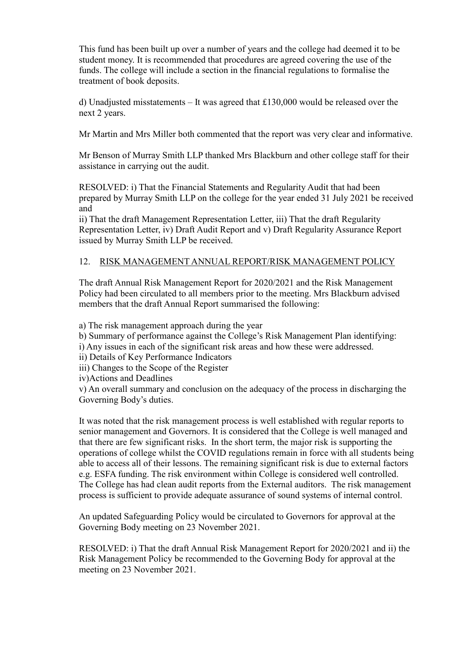This fund has been built up over a number of years and the college had deemed it to be student money. It is recommended that procedures are agreed covering the use of the funds. The college will include a section in the financial regulations to formalise the treatment of book deposits.

d) Unadjusted misstatements – It was agreed that  $£130,000$  would be released over the next 2 years.

Mr Martin and Mrs Miller both commented that the report was very clear and informative.

Mr Benson of Murray Smith LLP thanked Mrs Blackburn and other college staff for their assistance in carrying out the audit.

RESOLVED: i) That the Financial Statements and Regularity Audit that had been prepared by Murray Smith LLP on the college for the year ended 31 July 2021 be received and

ii) That the draft Management Representation Letter, iii) That the draft Regularity Representation Letter, iv) Draft Audit Report and v) Draft Regularity Assurance Report issued by Murray Smith LLP be received.

# 12. RISK MANAGEMENT ANNUAL REPORT/RISK MANAGEMENT POLICY

The draft Annual Risk Management Report for 2020/2021 and the Risk Management Policy had been circulated to all members prior to the meeting. Mrs Blackburn advised members that the draft Annual Report summarised the following:

a) The risk management approach during the year

b) Summary of performance against the College's Risk Management Plan identifying:

- i) Any issues in each of the significant risk areas and how these were addressed.
- ii) Details of Key Performance Indicators
- iii) Changes to the Scope of the Register

iv)Actions and Deadlines

v) An overall summary and conclusion on the adequacy of the process in discharging the Governing Body's duties.

It was noted that the risk management process is well established with regular reports to senior management and Governors. It is considered that the College is well managed and that there are few significant risks. In the short term, the major risk is supporting the operations of college whilst the COVID regulations remain in force with all students being able to access all of their lessons. The remaining significant risk is due to external factors e.g. ESFA funding. The risk environment within College is considered well controlled. The College has had clean audit reports from the External auditors. The risk management process is sufficient to provide adequate assurance of sound systems of internal control.

An updated Safeguarding Policy would be circulated to Governors for approval at the Governing Body meeting on 23 November 2021.

RESOLVED: i) That the draft Annual Risk Management Report for 2020/2021 and ii) the Risk Management Policy be recommended to the Governing Body for approval at the meeting on 23 November 2021.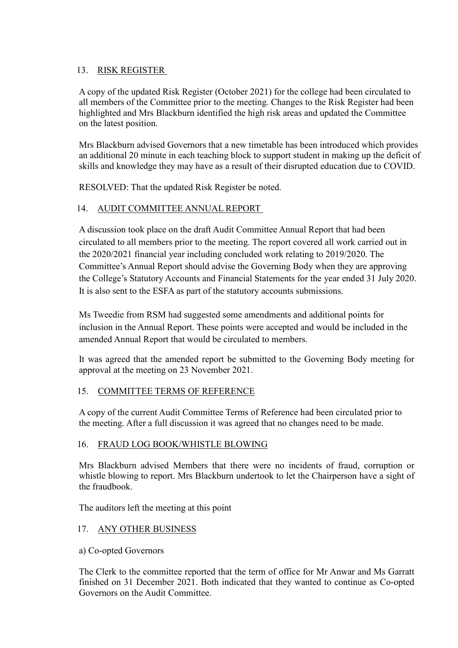# 13. RISK REGISTER

A copy of the updated Risk Register (October 2021) for the college had been circulated to all members of the Committee prior to the meeting. Changes to the Risk Register had been highlighted and Mrs Blackburn identified the high risk areas and updated the Committee on the latest position.

Mrs Blackburn advised Governors that a new timetable has been introduced which provides an additional 20 minute in each teaching block to support student in making up the deficit of skills and knowledge they may have as a result of their disrupted education due to COVID.

RESOLVED: That the updated Risk Register be noted.

# 14. AUDIT COMMITTEE ANNUAL REPORT

A discussion took place on the draft Audit Committee Annual Report that had been circulated to all members prior to the meeting. The report covered all work carried out in the 2020/2021 financial year including concluded work relating to 2019/2020. The Committee's Annual Report should advise the Governing Body when they are approving the College's Statutory Accounts and Financial Statements for the year ended 31 July 2020. It is also sent to the ESFA as part of the statutory accounts submissions.

Ms Tweedie from RSM had suggested some amendments and additional points for inclusion in the Annual Report. These points were accepted and would be included in the amended Annual Report that would be circulated to members.

It was agreed that the amended report be submitted to the Governing Body meeting for approval at the meeting on 23 November 2021.

## 15. COMMITTEE TERMS OF REFERENCE

A copy of the current Audit Committee Terms of Reference had been circulated prior to the meeting. After a full discussion it was agreed that no changes need to be made.

## 16. FRAUD LOG BOOK/WHISTLE BLOWING

Mrs Blackburn advised Members that there were no incidents of fraud, corruption or whistle blowing to report. Mrs Blackburn undertook to let the Chairperson have a sight of the fraudbook.

The auditors left the meeting at this point

## 17. ANY OTHER BUSINESS

## a) Co-opted Governors

The Clerk to the committee reported that the term of office for Mr Anwar and Ms Garratt finished on 31 December 2021. Both indicated that they wanted to continue as Co-opted Governors on the Audit Committee.